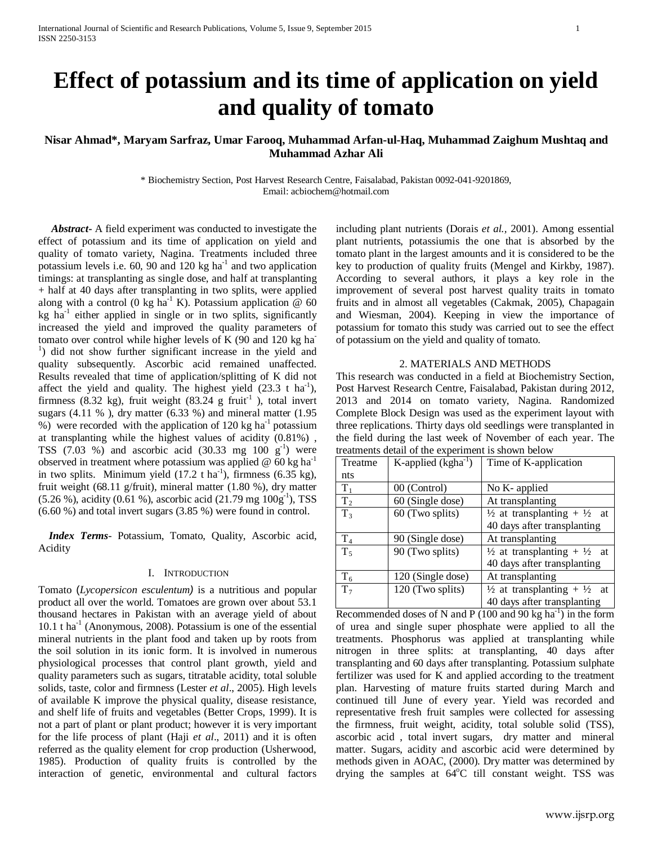# **Effect of potassium and its time of application on yield and quality of tomato**

# **Nisar Ahmad\*, Maryam Sarfraz, Umar Farooq, Muhammad Arfan-ul-Haq, Muhammad Zaighum Mushtaq and Muhammad Azhar Ali**

\* Biochemistry Section, Post Harvest Research Centre, Faisalabad, Pakistan 0092-041-9201869, Email: acbiochem@hotmail.com

 *Abstract***-** A field experiment was conducted to investigate the effect of potassium and its time of application on yield and quality of tomato variety, Nagina. Treatments included three potassium levels i.e.  $60$ ,  $90$  and  $120$  kg ha<sup>-1</sup> and two application timings: at transplanting as single dose, and half at transplanting + half at 40 days after transplanting in two splits, were applied along with a control (0 kg ha<sup>-1</sup> K). Potassium application  $@$  60  $kg$  ha<sup>-1</sup> either applied in single or in two splits, significantly increased the yield and improved the quality parameters of tomato over control while higher levels of K (90 and 120 kg ha-<sup>1</sup>) did not show further significant increase in the yield and quality subsequently. Ascorbic acid remained unaffected. Results revealed that time of application/splitting of K did not affect the yield and quality. The highest yield  $(23.3 \text{ t} \text{ ha}^{-1})$ , firmness (8.32 kg), fruit weight (83.24 g fruit<sup>-1</sup>), total invert sugars  $(4.11 \%)$ , dry matter  $(6.33 \%)$  and mineral matter  $(1.95 \%)$ %) were recorded with the application of 120 kg ha<sup>-1</sup> potassium at transplanting while the highest values of acidity (0.81%) , TSS  $(7.03 \%)$  and ascorbic acid  $(30.33 \text{ mg } 100 \text{ g}^{-1})$  were observed in treatment where potassium was applied  $\omega$  60 kg ha<sup>-1</sup> in two splits. Minimum yield  $(17.2 \text{ t ha}^{-1})$ , firmness  $(6.35 \text{ kg})$ , fruit weight (68.11 g/fruit), mineral matter (1.80 %), dry matter  $(5.26\%)$ , acidity  $(0.61\%)$ , ascorbic acid  $(21.79 \text{ mg } 100 \text{g}^{-1})$ , TSS (6.60 %) and total invert sugars (3.85 %) were found in control.

 *Index Terms*- Potassium, Tomato, Quality, Ascorbic acid, Acidity

## I. INTRODUCTION

Tomato (*Lycopersicon esculentum)* is a nutritious and popular product all over the world. Tomatoes are grown over about 53.1 thousand hectares in Pakistan with an average yield of about  $10.1$  t ha<sup>-1</sup> (Anonymous, 2008). Potassium is one of the essential mineral nutrients in the plant food and taken up by roots from the soil solution in its ionic form. It is involved in numerous physiological processes that control plant growth, yield and quality parameters such as sugars, titratable acidity, total soluble solids, taste, color and firmness (Lester *et al*., 2005). High levels of available K improve the physical quality, disease resistance, and shelf life of fruits and vegetables (Better Crops, 1999). It is not a part of plant or plant product; however it is very important for the life process of plant (Haji *et al*., 2011) and it is often referred as the quality element for crop production (Usherwood, 1985). Production of quality fruits is controlled by the interaction of genetic, environmental and cultural factors

including plant nutrients (Dorais *et al.,* 2001). Among essential plant nutrients, potassiumis the one that is absorbed by the tomato plant in the largest amounts and it is considered to be the key to production of quality fruits (Mengel and Kirkby, 1987). According to several authors, it plays a key role in the improvement of several post harvest quality traits in tomato fruits and in almost all vegetables (Cakmak, 2005), Chapagain and Wiesman, 2004). Keeping in view the importance of potassium for tomato this study was carried out to see the effect of potassium on the yield and quality of tomato.

### 2. MATERIALS AND METHODS

This research was conducted in a field at Biochemistry Section, Post Harvest Research Centre, Faisalabad, Pakistan during 2012, 2013 and 2014 on tomato variety, Nagina. Randomized Complete Block Design was used as the experiment layout with three replications. Thirty days old seedlings were transplanted in the field during the last week of November of each year. The treatments detail of the experiment is shown below

| Treatme        | K-applied $(kgha^{-1})$ | Time of K-application                             |  |  |
|----------------|-------------------------|---------------------------------------------------|--|--|
| nts            |                         |                                                   |  |  |
| $T_1$          | 00 (Control)            | No K- applied                                     |  |  |
| T <sub>2</sub> | 60 (Single dose)        | At transplanting                                  |  |  |
| $T_3$          | 60 (Two splits)         | $\frac{1}{2}$ at transplanting + $\frac{1}{2}$ at |  |  |
|                |                         | 40 days after transplanting                       |  |  |
| T <sub>4</sub> | 90 (Single dose)        | At transplanting                                  |  |  |
| $T_5$          | 90 (Two splits)         | $\frac{1}{2}$ at transplanting + $\frac{1}{2}$ at |  |  |
|                |                         | 40 days after transplanting                       |  |  |
| $T_6$          | 120 (Single dose)       | At transplanting                                  |  |  |
| T <sub>7</sub> | 120 (Two splits)        | $\frac{1}{2}$ at transplanting + $\frac{1}{2}$ at |  |  |
|                |                         | 40 days after transplanting                       |  |  |

Recommended doses of N and P  $(100 \text{ and } 90 \text{ kg ha}^{-1})$  in the form of urea and single super phosphate were applied to all the treatments. Phosphorus was applied at transplanting while nitrogen in three splits: at transplanting, 40 days after transplanting and 60 days after transplanting. Potassium sulphate fertilizer was used for K and applied according to the treatment plan. Harvesting of mature fruits started during March and continued till June of every year. Yield was recorded and representative fresh fruit samples were collected for assessing the firmness, fruit weight, acidity, total soluble solid (TSS), ascorbic acid , total invert sugars, dry matter and mineral matter. Sugars, acidity and ascorbic acid were determined by methods given in AOAC, (2000). Dry matter was determined by drying the samples at 64°C till constant weight. TSS was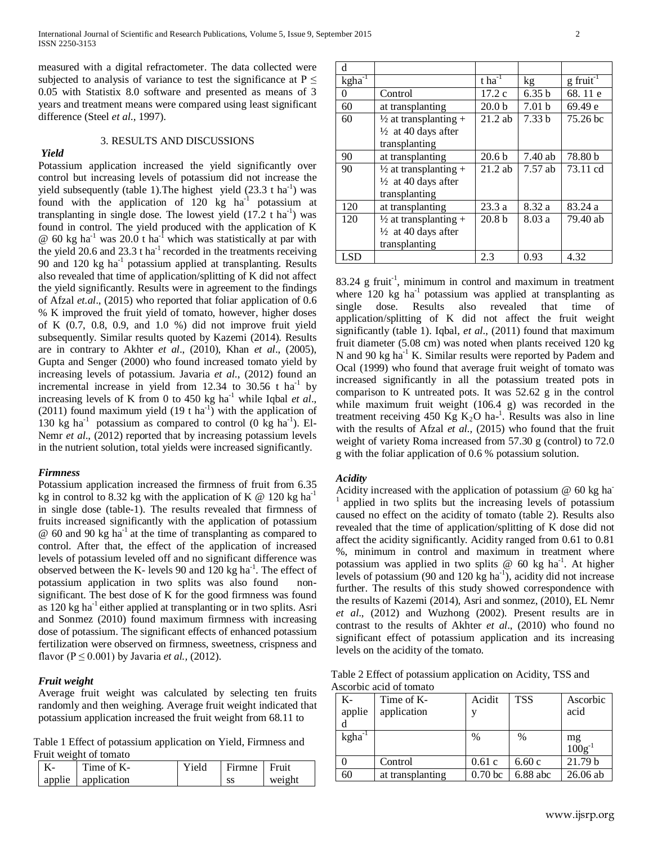measured with a digital refractometer. The data collected were subjected to analysis of variance to test the significance at  $P \leq$ 0.05 with Statistix 8.0 software and presented as means of 3 years and treatment means were compared using least significant difference (Steel *et al*., 1997).

#### 3. RESULTS AND DISCUSSIONS

*Yield*  Potassium application increased the yield significantly over control but increasing levels of potassium did not increase the yield subsequently (table 1). The highest yield  $(23.3 \text{ t} \text{ ha}^{-1})$  was found with the application of 120 kg ha<sup>-1</sup> potassium at transplanting in single dose. The lowest yield  $(17.2 \text{ t} \text{ ha}^{-1})$  was found in control. The yield produced with the application of K  $\omega$  60 kg ha<sup>-1</sup> was 20.0 t ha<sup>-1</sup> which was statistically at par with the yield 20.6 and 23.3 t ha<sup>-1</sup> recorded in the treatments receiving 90 and 120 kg ha<sup>-1</sup> potassium applied at transplanting. Results also revealed that time of application/splitting of K did not affect the yield significantly. Results were in agreement to the findings of Afzal *et.al*., (2015) who reported that foliar application of 0.6 % K improved the fruit yield of tomato, however, higher doses of K  $(0.7, 0.8, 0.9,$  and  $1.0 %$  did not improve fruit yield subsequently. Similar results quoted by Kazemi (2014). Results are in contrary to Akhter *et al*., (2010), Khan *et al*., (2005), Gupta and Senger (2000) who found increased tomato yield by increasing levels of potassium. Javaria *et al*., (2012) found an incremental increase in yield from 12.34 to 30.56 t  $ha^{-1}$  by increasing levels of K from 0 to 450 kg ha<sup>-1</sup> while Iqbal *et al.*, (2011) found maximum yield  $(19 \text{ t} \text{ ha}^{-1})$  with the application of 130 kg ha<sup>-1</sup> potassium as compared to control  $(0 \text{ kg } ha^{-1})$ . El-Nemr *et al*., (2012) reported that by increasing potassium levels in the nutrient solution, total yields were increased significantly. *Firmness*

Potassium application increased the firmness of fruit from 6.35 kg in control to 8.32 kg with the application of K  $\omega$  120 kg ha<sup>-1</sup> in single dose (table-1). The results revealed that firmness of fruits increased significantly with the application of potassium  $\omega$  60 and 90 kg ha<sup>-1</sup> at the time of transplanting as compared to control. After that, the effect of the application of increased levels of potassium leveled off and no significant difference was observed between the K- levels 90 and  $120 \text{ kg} \text{ ha}^{-1}$ . The effect of potassium application in two splits was also found nonsignificant. The best dose of K for the good firmness was found as 120 kg ha<sup>-1</sup> either applied at transplanting or in two splits. Asri and Sonmez (2010) found maximum firmness with increasing dose of potassium. The significant effects of enhanced potassium fertilization were observed on firmness, sweetness, crispness and flavor ( $P \le 0.001$ ) by Javaria *et al.*, (2012).

### *Fruit weight*

Average fruit weight was calculated by selecting ten fruits randomly and then weighing. Average fruit weight indicated that potassium application increased the fruit weight from 68.11 to

Table 1 Effect of potassium application on Yield, Firmness and Fruit weight of tomato

| Time of K-           | Yield | Firmne | Fruit  |
|----------------------|-------|--------|--------|
| applie   application |       | SS     | weight |

| d           |                                                                                     |                                                     |                   |                         |
|-------------|-------------------------------------------------------------------------------------|-----------------------------------------------------|-------------------|-------------------------|
| $kgha^{-1}$ |                                                                                     | $\overline{\text{t} \text{h} \text{a}}^{\text{-1}}$ | kg                | $g$ fruit <sup>-1</sup> |
| 0           | Control                                                                             | 17.2c                                               | 6.35h             | 68.11 e                 |
| 60          | at transplanting                                                                    | 20.0 <sub>b</sub>                                   | 7.01 <sub>b</sub> | 69.49 e                 |
| 60          | $\frac{1}{2}$ at transplanting +<br>$\frac{1}{2}$ at 40 days after<br>transplanting | $21.2$ ab                                           | 7.33h             | $75.26$ bc              |
| 90          | at transplanting                                                                    | 20.6 <sub>b</sub>                                   | $7.40$ ab         | 78.80 b                 |
| 90          | $\frac{1}{2}$ at transplanting +<br>$\frac{1}{2}$ at 40 days after<br>transplanting | $21.2$ ab                                           | $7.57$ ab         | 73.11 cd                |
| 120         | at transplanting                                                                    | 23.3a                                               | 8.32 a            | 83.24 a                 |
| 120         | $\frac{1}{2}$ at transplanting +<br>$\frac{1}{2}$ at 40 days after<br>transplanting | 20.8 <sub>b</sub>                                   | 8.03a             | 79.40 ab                |
| LSD         |                                                                                     | 2.3                                                 | 0.93              | 4.32                    |

 $83.24$  g fruit<sup>-1</sup>, minimum in control and maximum in treatment where  $120 \text{ kg}$  ha<sup>-1</sup> potassium was applied at transplanting as single dose. Results also revealed that time of application/splitting of K did not affect the fruit weight significantly (table 1). Iqbal, *et al*., (2011) found that maximum fruit diameter (5.08 cm) was noted when plants received 120 kg N and 90 kg ha<sup>-1</sup> K. Similar results were reported by Padem and Ocal (1999) who found that average fruit weight of tomato was increased significantly in all the potassium treated pots in comparison to K untreated pots. It was 52.62 g in the control while maximum fruit weight (106.4 g) was recorded in the treatment receiving 450 Kg  $K_2O$  ha<sup>-1</sup>. Results was also in line with the results of Afzal *et al.,* (2015) who found that the fruit weight of variety Roma increased from 57.30 g (control) to 72.0 g with the foliar application of 0.6 % potassium solution.

### *Acidity*

Acidity increased with the application of potassium  $@$  60 kg ha<sup>-</sup> applied in two splits but the increasing levels of potassium caused no effect on the acidity of tomato (table 2). Results also revealed that the time of application/splitting of K dose did not affect the acidity significantly. Acidity ranged from 0.61 to 0.81 %, minimum in control and maximum in treatment where potassium was applied in two splits @ 60 kg ha<sup>-1</sup>. At higher levels of potassium (90 and 120  $kg$  ha<sup>-1</sup>), acidity did not increase further. The results of this study showed correspondence with the results of Kazemi (2014), Asri and sonmez, (2010), EL Nemr *et al*., (2012) and Wuzhong (2002). Present results are in contrast to the results of Akhter *et al*., (2010) who found no significant effect of potassium application and its increasing levels on the acidity of the tomato.

Table 2 Effect of potassium application on Acidity, TSS and Ascorbic acid of tomato

| K-<br>applie | Time of K-<br>application | Acidit             | <b>TSS</b> | Ascorbic<br>acid                   |
|--------------|---------------------------|--------------------|------------|------------------------------------|
| $kgha^{-1}$  |                           | $\%$               | $\%$       |                                    |
|              |                           |                    |            | $mg$ <sub>100g</sub> <sup>-1</sup> |
|              | Control                   | 0.61c              | 6.60c      | 21.79 <sub>b</sub>                 |
| 60           | at transplanting          | 0.70 <sub>bc</sub> | $6.88$ abc | 26.06 ab                           |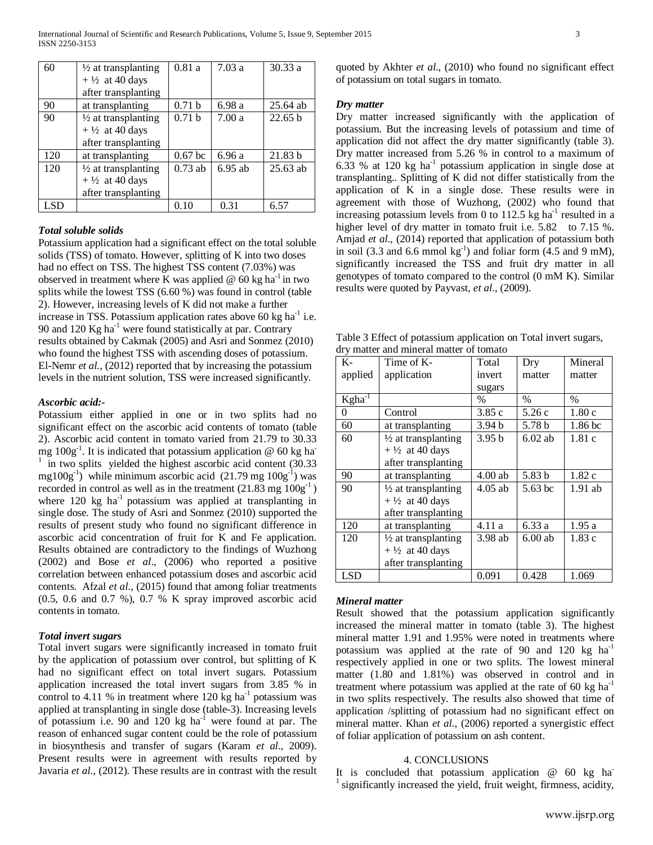| 60  | $\frac{1}{2}$ at transplanting | 0.81a              | 7.03a     | 30.33a     |
|-----|--------------------------------|--------------------|-----------|------------|
|     | $+ \frac{1}{2}$ at 40 days     |                    |           |            |
|     | after transplanting            |                    |           |            |
| 90  | at transplanting               | 0.71 <sub>b</sub>  | 6.98 a    | 25.64 ab   |
| 90  | $\frac{1}{2}$ at transplanting | 0.71 <sub>b</sub>  | 7.00a     | 22.65 b    |
|     | $+ \frac{1}{2}$ at 40 days     |                    |           |            |
|     | after transplanting            |                    |           |            |
| 120 | at transplanting               | 0.67 <sub>bc</sub> | 6.96a     | 21.83 b    |
| 120 | $\frac{1}{2}$ at transplanting | $0.73$ ab          | $6.95$ ab | $25.63$ ab |
|     | $+ \frac{1}{2}$ at 40 days     |                    |           |            |
|     | after transplanting            |                    |           |            |
| LSD |                                | 0.10               | 0.31      | 6.57       |

### *Total soluble solids*

Potassium application had a significant effect on the total soluble solids (TSS) of tomato. However, splitting of K into two doses had no effect on TSS. The highest TSS content  $(7.03\%)$  was observed in treatment where K was applied  $\omega$  60 kg ha<sup>-1</sup> in two splits while the lowest TSS (6.60 %) was found in control (table 2). However, increasing levels of K did not make a further increase in TSS. Potassium application rates above  $60 \text{ kg ha}^{-1}$  i.e. 90 and 120  $\text{Kg}$  ha<sup>-1</sup> were found statistically at par. Contrary results obtained by Cakmak (2005) and Asri and Sonmez (2010) who found the highest TSS with ascending doses of potassium. El-Nemr *et al.,* (2012) reported that by increasing the potassium levels in the nutrient solution, TSS were increased significantly.

#### *Ascorbic acid:-*

Potassium either applied in one or in two splits had no significant effect on the ascorbic acid contents of tomato (table 2). Ascorbic acid content in tomato varied from 21.79 to 30.33 mg  $100g^{-1}$ . It is indicated that potassium application @ 60 kg ha<sup>-</sup> in two splits yielded the highest ascorbic acid content (30.33)  $mg100g^{-1}$ ) while minimum ascorbic acid (21.79 mg  $100g^{-1}$ ) was recorded in control as well as in the treatment  $(21.83 \text{ mg } 100 \text{g}^{-1})$ where  $120 \text{ kg}$  ha<sup>-1</sup> potassium was applied at transplanting in single dose. The study of Asri and Sonmez (2010) supported the results of present study who found no significant difference in ascorbic acid concentration of fruit for K and Fe application. Results obtained are contradictory to the findings of Wuzhong (2002) and Bose *et al*., (2006) who reported a positive correlation between enhanced potassium doses and ascorbic acid contents. Afzal *et al*., (2015) found that among foliar treatments (0.5, 0.6 and 0.7 %), 0.7 % K spray improved ascorbic acid contents in tomato.

### *Total invert sugars*

Total invert sugars were significantly increased in tomato fruit by the application of potassium over control, but splitting of K had no significant effect on total invert sugars. Potassium application increased the total invert sugars from 3.85 % in control to 4.11 % in treatment where  $120 \text{ kg}$  ha<sup>-1</sup> potassium was applied at transplanting in single dose (table-3). Increasing levels of potassium i.e. 90 and 120 kg ha<sup>-1</sup> were found at par. The reason of enhanced sugar content could be the role of potassium in biosynthesis and transfer of sugars (Karam *et al*., 2009). Present results were in agreement with results reported by Javaria *et al*., (2012). These results are in contrast with the result quoted by Akhter *et al*., (2010) who found no significant effect of potassium on total sugars in tomato.

#### *Dry matter*

 Dry matter increased significantly with the application of potassium. But the increasing levels of potassium and time of application did not affect the dry matter significantly (table 3). Dry matter increased from 5.26 % in control to a maximum of 6.33 % at 120 kg  $ha^{-1}$  potassium application in single dose at transplanting.. Splitting of K did not differ statistically from the application of K in a single dose. These results were in agreement with those of Wuzhong, (2002) who found that increasing potassium levels from 0 to 112.5 kg ha<sup>-1</sup> resulted in a higher level of dry matter in tomato fruit i.e. 5.82 to 7.15 %. Amjad *et al*., (2014) reported that application of potassium both in soil (3.3 and 6.6 mmol  $kg^{-1}$ ) and foliar form (4.5 and 9 mM), significantly increased the TSS and fruit dry matter in all genotypes of tomato compared to the control (0 mM K). Similar results were quoted by Payvast, *et al*., (2009).

Table 3 Effect of potassium application on Total invert sugars, dry matter and mineral matter of tomato

| K-          | Time of K-                     | Total             | Dry       | Mineral       |
|-------------|--------------------------------|-------------------|-----------|---------------|
| applied     | application                    | invert            | matter    | matter        |
|             |                                | sugars            |           |               |
| $Kgha^{-1}$ |                                | $\%$              | $\%$      | $\frac{0}{0}$ |
| 0           | Control                        | 3.85c             | 5.26c     | 1.80 c        |
| 60          | at transplanting               | 3.94 b            | 5.78 b    | 1.86 bc       |
| 60          | $\frac{1}{2}$ at transplanting | 3.95 <sub>b</sub> | $6.02$ ab | 1.81c         |
|             | $+ \frac{1}{2}$ at 40 days     |                   |           |               |
|             | after transplanting            |                   |           |               |
| 90          | at transplanting               | $4.00$ ab         | 5.83 b    | 1.82c         |
| 90          | $\frac{1}{2}$ at transplanting | $4.05$ ab         | 5.63 bc   | $1.91$ ab     |
|             | $+ \frac{1}{2}$ at 40 days     |                   |           |               |
|             | after transplanting            |                   |           |               |
| 120         | at transplanting               | 4.11 a            | 6.33 a    | 1.95a         |
| 120         | $\frac{1}{2}$ at transplanting | 3.98 ab           | $6.00$ ab | 1.83c         |
|             | $+ \frac{1}{2}$ at 40 days     |                   |           |               |
|             | after transplanting            |                   |           |               |
| <b>LSD</b>  |                                | 0.091             | 0.428     | 1.069         |

### *Mineral matter*

Result showed that the potassium application significantly increased the mineral matter in tomato (table 3). The highest mineral matter 1.91 and 1.95% were noted in treatments where potassium was applied at the rate of 90 and 120 kg  $ha^{-1}$ respectively applied in one or two splits. The lowest mineral matter (1.80 and 1.81%) was observed in control and in treatment where potassium was applied at the rate of 60 kg  $ha^{-1}$ in two splits respectively. The results also showed that time of application /splitting of potassium had no significant effect on mineral matter. Khan *et al*., (2006) reported a synergistic effect of foliar application of potassium on ash content.

#### 4. CONCLUSIONS

It is concluded that potassium application  $@$  60 kg ha-<sup>1</sup> significantly increased the yield, fruit weight, firmness, acidity,